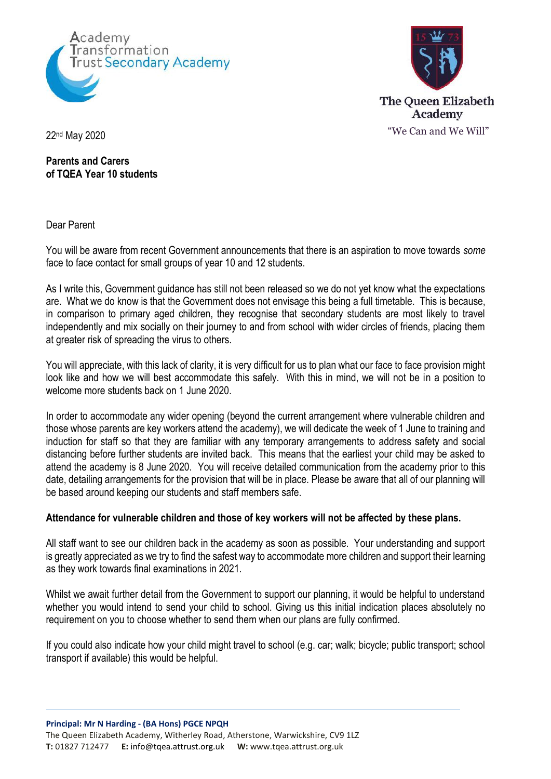



**Parents and Carers of TQEA Year 10 students**

Dear Parent

You will be aware from recent Government announcements that there is an aspiration to move towards *some* face to face contact for small groups of year 10 and 12 students.

As I write this, Government guidance has still not been released so we do not yet know what the expectations are. What we do know is that the Government does not envisage this being a full timetable. This is because, in comparison to primary aged children, they recognise that secondary students are most likely to travel independently and mix socially on their journey to and from school with wider circles of friends, placing them at greater risk of spreading the virus to others.

You will appreciate, with this lack of clarity, it is very difficult for us to plan what our face to face provision might look like and how we will best accommodate this safely. With this in mind, we will not be in a position to welcome more students back on 1 June 2020.

In order to accommodate any wider opening (beyond the current arrangement where vulnerable children and those whose parents are key workers attend the academy), we will dedicate the week of 1 June to training and induction for staff so that they are familiar with any temporary arrangements to address safety and social distancing before further students are invited back. This means that the earliest your child may be asked to attend the academy is 8 June 2020. You will receive detailed communication from the academy prior to this date, detailing arrangements for the provision that will be in place. Please be aware that all of our planning will be based around keeping our students and staff members safe.

## **Attendance for vulnerable children and those of key workers will not be affected by these plans.**

All staff want to see our children back in the academy as soon as possible. Your understanding and support is greatly appreciated as we try to find the safest way to accommodate more children and support their learning as they work towards final examinations in 2021.

Whilst we await further detail from the Government to support our planning, it would be helpful to understand whether you would intend to send your child to school. Giving us this initial indication places absolutely no requirement on you to choose whether to send them when our plans are fully confirmed.

If you could also indicate how your child might travel to school (e.g. car; walk; bicycle; public transport; school transport if available) this would be helpful.